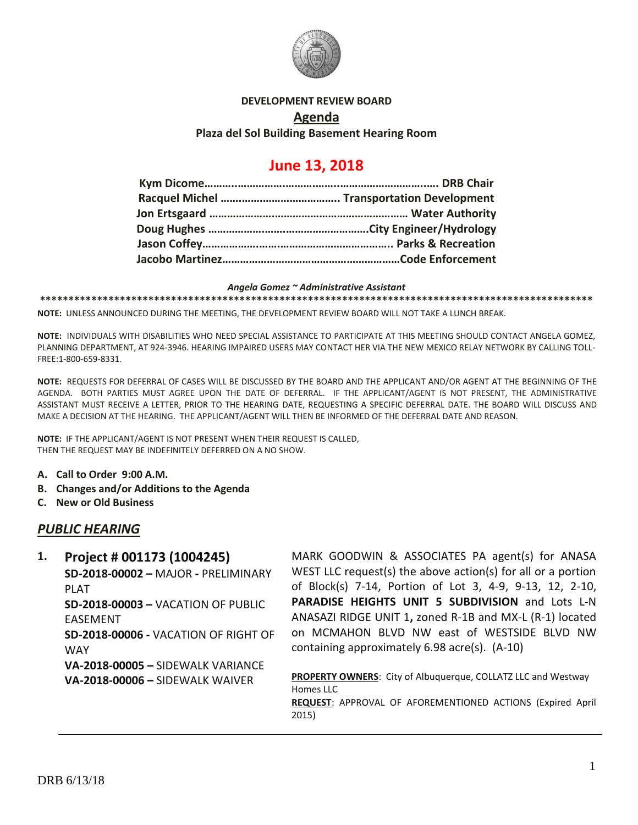

#### **DEVELOPMENT REVIEW BOARD**

#### **Agenda**

#### **Plaza del Sol Building Basement Hearing Room**

# **June 13, 2018**

#### *Angela Gomez ~ Administrative Assistant*

**\*\*\*\*\*\*\*\*\*\*\*\*\*\*\*\*\*\*\*\*\*\*\*\*\*\*\*\*\*\*\*\*\*\*\*\*\*\*\*\*\*\*\*\*\*\*\*\*\*\*\*\*\*\*\*\*\*\*\*\*\*\*\*\*\*\*\*\*\*\*\*\*\*\*\*\*\*\*\*\*\*\*\*\*\*\*\*\*\*\*\*\*\*\*\*\*\***

**NOTE:** UNLESS ANNOUNCED DURING THE MEETING, THE DEVELOPMENT REVIEW BOARD WILL NOT TAKE A LUNCH BREAK.

**NOTE:** INDIVIDUALS WITH DISABILITIES WHO NEED SPECIAL ASSISTANCE TO PARTICIPATE AT THIS MEETING SHOULD CONTACT ANGELA GOMEZ, PLANNING DEPARTMENT, AT 924-3946. HEARING IMPAIRED USERS MAY CONTACT HER VIA THE NEW MEXICO RELAY NETWORK BY CALLING TOLL-FREE:1-800-659-8331.

**NOTE:** REQUESTS FOR DEFERRAL OF CASES WILL BE DISCUSSED BY THE BOARD AND THE APPLICANT AND/OR AGENT AT THE BEGINNING OF THE AGENDA. BOTH PARTIES MUST AGREE UPON THE DATE OF DEFERRAL. IF THE APPLICANT/AGENT IS NOT PRESENT, THE ADMINISTRATIVE ASSISTANT MUST RECEIVE A LETTER, PRIOR TO THE HEARING DATE, REQUESTING A SPECIFIC DEFERRAL DATE. THE BOARD WILL DISCUSS AND MAKE A DECISION AT THE HEARING. THE APPLICANT/AGENT WILL THEN BE INFORMED OF THE DEFERRAL DATE AND REASON.

**NOTE:** IF THE APPLICANT/AGENT IS NOT PRESENT WHEN THEIR REQUEST IS CALLED, THEN THE REQUEST MAY BE INDEFINITELY DEFERRED ON A NO SHOW.

- **A. Call to Order 9:00 A.M.**
- **B. Changes and/or Additions to the Agenda**
- **C. New or Old Business**

# *PUBLIC HEARING*

**1. Project # 001173 (1004245) SD-2018-00002 –** MAJOR **-** PRELIMINARY PLAT **SD-2018-00003 –** VACATION OF PUBLIC EASEMENT **SD-2018-00006 -** VACATION OF RIGHT OF **WAY VA-2018-00005 –** SIDEWALK VARIANCE **VA-2018-00006 –** SIDEWALK WAIVER MARK GOODWIN & ASSOCIATES PA agent(s) for ANASA WEST LLC request(s) the above action(s) for all or a portion of Block(s) 7-14, Portion of Lot 3, 4-9, 9-13, 12, 2-10, **PARADISE HEIGHTS UNIT 5 SUBDIVISION** and Lots L-N ANASAZI RIDGE UNIT 1**,** zoned R-1B and MX-L (R-1) located on MCMAHON BLVD NW east of WESTSIDE BLVD NW containing approximately 6.98 acre(s). (A-10) **PROPERTY OWNERS**: City of Albuquerque, COLLATZ LLC and Westway Homes LLC

**REQUEST**: APPROVAL OF AFOREMENTIONED ACTIONS (Expired April 2015)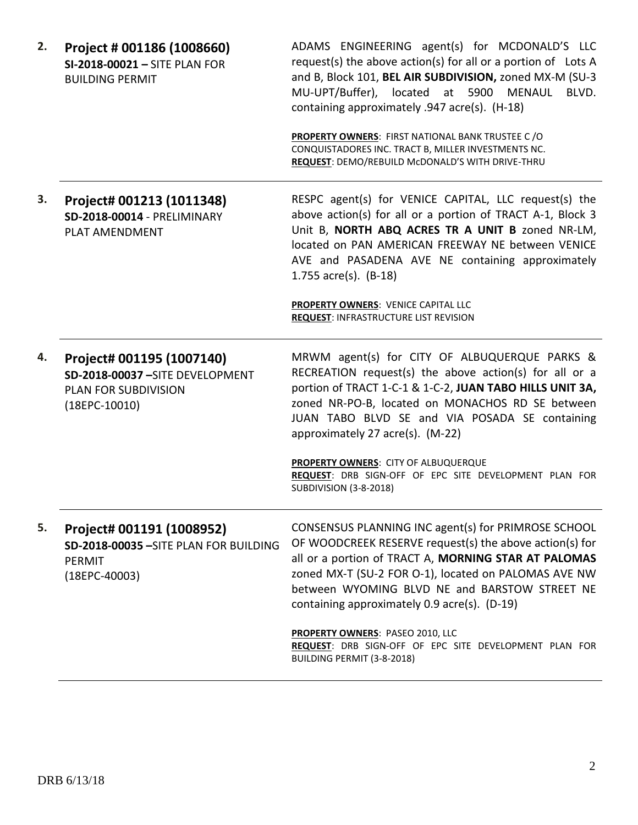| 2. | Project # 001186 (1008660)<br>SI-2018-00021 - SITE PLAN FOR<br><b>BUILDING PERMIT</b>                  | ADAMS ENGINEERING agent(s) for MCDONALD'S LLC<br>request(s) the above action(s) for all or a portion of Lots A<br>and B, Block 101, BEL AIR SUBDIVISION, zoned MX-M (SU-3<br>MU-UPT/Buffer), located at 5900 MENAUL<br>BLVD.<br>containing approximately .947 acre(s). (H-18)<br><b>PROPERTY OWNERS: FIRST NATIONAL BANK TRUSTEE C/O</b><br>CONQUISTADORES INC. TRACT B, MILLER INVESTMENTS NC.<br>REQUEST: DEMO/REBUILD McDONALD'S WITH DRIVE-THRU         |
|----|--------------------------------------------------------------------------------------------------------|-------------------------------------------------------------------------------------------------------------------------------------------------------------------------------------------------------------------------------------------------------------------------------------------------------------------------------------------------------------------------------------------------------------------------------------------------------------|
| 3. | Project# 001213 (1011348)<br>SD-2018-00014 - PRELIMINARY<br>PLAT AMENDMENT                             | RESPC agent(s) for VENICE CAPITAL, LLC request(s) the<br>above action(s) for all or a portion of TRACT A-1, Block 3<br>Unit B, NORTH ABQ ACRES TR A UNIT B zoned NR-LM,<br>located on PAN AMERICAN FREEWAY NE between VENICE<br>AVE and PASADENA AVE NE containing approximately<br>1.755 $\arccos $ . (B-18)<br><b>PROPERTY OWNERS: VENICE CAPITAL LLC</b><br><b>REQUEST: INFRASTRUCTURE LIST REVISION</b>                                                 |
| 4. | Project# 001195 (1007140)<br>SD-2018-00037-SITE DEVELOPMENT<br>PLAN FOR SUBDIVISION<br>$(18EPC-10010)$ | MRWM agent(s) for CITY OF ALBUQUERQUE PARKS &<br>RECREATION request(s) the above action(s) for all or a<br>portion of TRACT 1-C-1 & 1-C-2, JUAN TABO HILLS UNIT 3A,<br>zoned NR-PO-B, located on MONACHOS RD SE between<br>JUAN TABO BLVD SE and VIA POSADA SE containing<br>approximately 27 acre(s). (M-22)<br>PROPERTY OWNERS: CITY OF ALBUQUERQUE<br>REQUEST: DRB SIGN-OFF OF EPC SITE DEVELOPMENT PLAN FOR<br><b>SUBDIVISION (3-8-2018)</b>            |
| 5. | Project# 001191 (1008952)<br>SD-2018-00035 - SITE PLAN FOR BUILDING<br>PERMIT<br>$(18EPC-40003)$       | CONSENSUS PLANNING INC agent(s) for PRIMROSE SCHOOL<br>OF WOODCREEK RESERVE request(s) the above action(s) for<br>all or a portion of TRACT A, MORNING STAR AT PALOMAS<br>zoned MX-T (SU-2 FOR O-1), located on PALOMAS AVE NW<br>between WYOMING BLVD NE and BARSTOW STREET NE<br>containing approximately 0.9 acre(s). (D-19)<br>PROPERTY OWNERS: PASEO 2010, LLC<br>REQUEST: DRB SIGN-OFF OF EPC SITE DEVELOPMENT PLAN FOR<br>BUILDING PERMIT (3-8-2018) |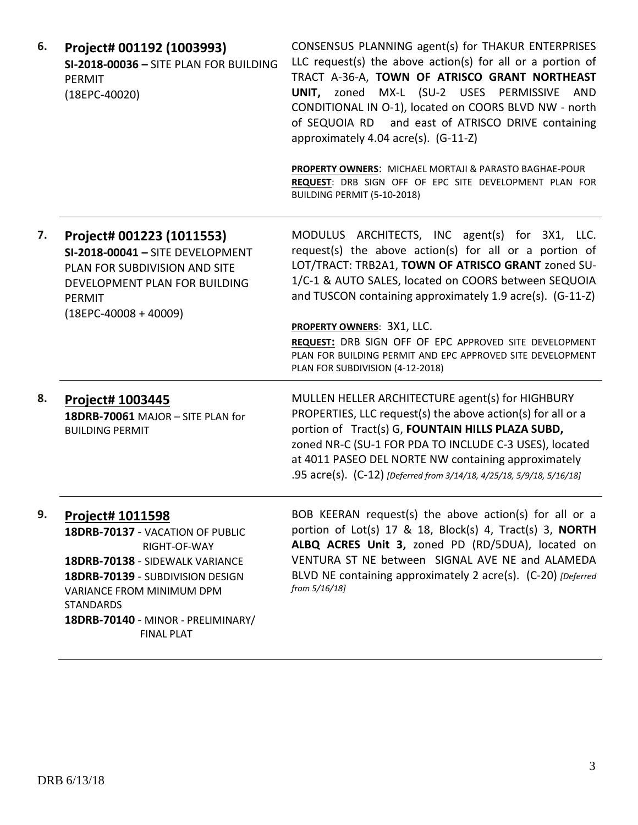| 6. | Project# 001192 (1003993)<br>SI-2018-00036 - SITE PLAN FOR BUILDING<br>PERMIT<br>$(18EPC-40020)$                                                                                                                                                        | CONSENSUS PLANNING agent(s) for THAKUR ENTERPRISES<br>LLC request(s) the above action(s) for all or a portion of<br>TRACT A-36-A, TOWN OF ATRISCO GRANT NORTHEAST<br>UNIT, zoned MX-L (SU-2 USES PERMISSIVE AND<br>CONDITIONAL IN O-1), located on COORS BLVD NW - north<br>of SEQUOIA RD and east of ATRISCO DRIVE containing<br>approximately 4.04 acre(s). (G-11-Z)<br>PROPERTY OWNERS: MICHAEL MORTAJI & PARASTO BAGHAE-POUR<br>REQUEST: DRB SIGN OFF OF EPC SITE DEVELOPMENT PLAN FOR<br>BUILDING PERMIT (5-10-2018) |
|----|---------------------------------------------------------------------------------------------------------------------------------------------------------------------------------------------------------------------------------------------------------|---------------------------------------------------------------------------------------------------------------------------------------------------------------------------------------------------------------------------------------------------------------------------------------------------------------------------------------------------------------------------------------------------------------------------------------------------------------------------------------------------------------------------|
| 7. | Project# 001223 (1011553)<br>SI-2018-00041 - SITE DEVELOPMENT<br>PLAN FOR SUBDIVISION AND SITE<br>DEVELOPMENT PLAN FOR BUILDING<br><b>PERMIT</b><br>$(18EPC-40008+40009)$                                                                               | MODULUS ARCHITECTS, INC agent(s) for 3X1, LLC.<br>request(s) the above action(s) for all or a portion of<br>LOT/TRACT: TRB2A1, TOWN OF ATRISCO GRANT zoned SU-<br>1/C-1 & AUTO SALES, located on COORS between SEQUOIA<br>and TUSCON containing approximately 1.9 acre(s). (G-11-Z)<br><b>PROPERTY OWNERS: 3X1, LLC.</b><br>REQUEST: DRB SIGN OFF OF EPC APPROVED SITE DEVELOPMENT<br>PLAN FOR BUILDING PERMIT AND EPC APPROVED SITE DEVELOPMENT<br>PLAN FOR SUBDIVISION (4-12-2018)                                      |
| 8. | <b>Project# 1003445</b><br>18DRB-70061 MAJOR - SITE PLAN for<br><b>BUILDING PERMIT</b>                                                                                                                                                                  | MULLEN HELLER ARCHITECTURE agent(s) for HIGHBURY<br>PROPERTIES, LLC request(s) the above action(s) for all or a<br>portion of Tract(s) G, FOUNTAIN HILLS PLAZA SUBD,<br>zoned NR-C (SU-1 FOR PDA TO INCLUDE C-3 USES), located<br>at 4011 PASEO DEL NORTE NW containing approximately<br>.95 acre(s). (C-12) [Deferred from 3/14/18, 4/25/18, 5/9/18, 5/16/18]                                                                                                                                                            |
| 9. | Project# 1011598<br>18DRB-70137 - VACATION OF PUBLIC<br>RIGHT-OF-WAY<br>18DRB-70138 - SIDEWALK VARIANCE<br>18DRB-70139 - SUBDIVISION DESIGN<br>VARIANCE FROM MINIMUM DPM<br><b>STANDARDS</b><br>18DRB-70140 - MINOR - PRELIMINARY/<br><b>FINAL PLAT</b> | BOB KEERAN request(s) the above action(s) for all or a<br>portion of Lot(s) 17 & 18, Block(s) 4, Tract(s) 3, NORTH<br>ALBQ ACRES Unit 3, zoned PD (RD/5DUA), located on<br>VENTURA ST NE between SIGNAL AVE NE and ALAMEDA<br>BLVD NE containing approximately 2 acre(s). (C-20) [Deferred]<br>from 5/16/18]                                                                                                                                                                                                              |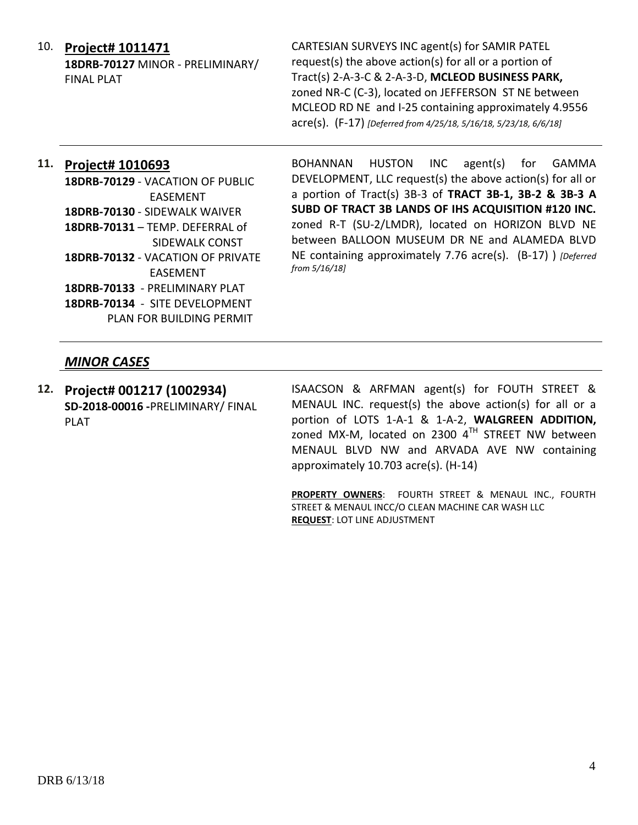# 10. **Project# 1011471**

**18DRB-70127** MINOR - PRELIMINARY/ FINAL PLAT

CARTESIAN SURVEYS INC agent(s) for SAMIR PATEL request(s) the above action(s) for all or a portion of Tract(s) 2-A-3-C & 2-A-3-D, **MCLEOD BUSINESS PARK,** zoned NR-C (C-3), located on JEFFERSON ST NE between MCLEOD RD NE and I-25 containing approximately 4.9556 acre(s). (F-17) *[Deferred from 4/25/18, 5/16/18, 5/23/18, 6/6/18]*

# **11. Project# 1010693**

**18DRB-70129** - VACATION OF PUBLIC EASEMENT **18DRB-70130** - SIDEWALK WAIVER **18DRB-70131** – TEMP. DEFERRAL of SIDEWALK CONST **18DRB-70132** - VACATION OF PRIVATE EASEMENT **18DRB-70133** - PRELIMINARY PLAT **18DRB-70134** - SITE DEVELOPMENT PLAN FOR BUILDING PERMIT

BOHANNAN HUSTON INC agent(s) for GAMMA DEVELOPMENT, LLC request(s) the above action(s) for all or a portion of Tract(s) 3B-3 of **TRACT 3B-1, 3B-2 & 3B-3 A SUBD OF TRACT 3B LANDS OF IHS ACQUISITION #120 INC.** zoned R-T (SU-2/LMDR), located on HORIZON BLVD NE between BALLOON MUSEUM DR NE and ALAMEDA BLVD NE containing approximately 7.76 acre(s). (B-17) ) *[Deferred from 5/16/18]*

# *MINOR CASES*

**12. Project# 001217 (1002934) SD-2018-00016 -**PRELIMINARY/ FINAL PLAT

ISAACSON & ARFMAN agent(s) for FOUTH STREET & MENAUL INC. request(s) the above action(s) for all or a portion of LOTS 1-A-1 & 1-A-2, **WALGREEN ADDITION,**  zoned MX-M, located on 2300  $4<sup>TH</sup>$  STREET NW between MENAUL BLVD NW and ARVADA AVE NW containing approximately 10.703 acre(s). (H-14)

**PROPERTY OWNERS**: FOURTH STREET & MENAUL INC., FOURTH STREET & MENAUL INCC/O CLEAN MACHINE CAR WASH LLC **REQUEST**: LOT LINE ADJUSTMENT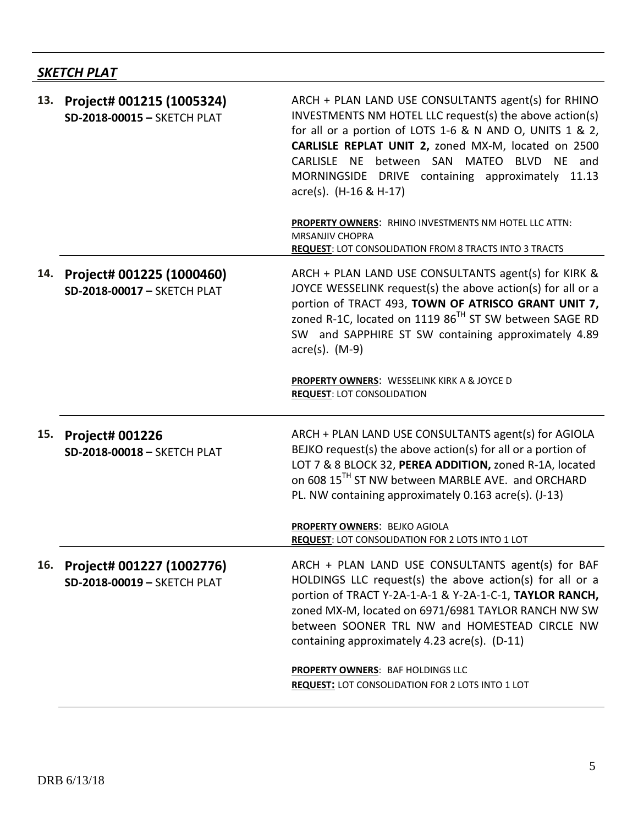# *SKETCH PLAT*

| 13. | Project# 001215 (1005324)<br>SD-2018-00015 - SKETCH PLAT | ARCH + PLAN LAND USE CONSULTANTS agent(s) for RHINO<br>INVESTMENTS NM HOTEL LLC request(s) the above action(s)<br>for all or a portion of LOTS 1-6 & N AND O, UNITS 1 & 2,<br>CARLISLE REPLAT UNIT 2, zoned MX-M, located on 2500<br>CARLISLE NE between SAN MATEO BLVD NE and<br>MORNINGSIDE DRIVE containing approximately<br>11.13<br>$\text{acre}(s)$ . (H-16 & H-17)<br>PROPERTY OWNERS: RHINO INVESTMENTS NM HOTEL LLC ATTN:<br><b>MRSANJIV CHOPRA</b><br><b>REQUEST: LOT CONSOLIDATION FROM 8 TRACTS INTO 3 TRACTS</b> |
|-----|----------------------------------------------------------|-------------------------------------------------------------------------------------------------------------------------------------------------------------------------------------------------------------------------------------------------------------------------------------------------------------------------------------------------------------------------------------------------------------------------------------------------------------------------------------------------------------------------------|
| 14. | Project# 001225 (1000460)<br>SD-2018-00017 - SKETCH PLAT | ARCH + PLAN LAND USE CONSULTANTS agent(s) for KIRK &<br>JOYCE WESSELINK request(s) the above action(s) for all or a<br>portion of TRACT 493, TOWN OF ATRISCO GRANT UNIT 7,<br>zoned R-1C, located on 1119 86 <sup>TH</sup> ST SW between SAGE RD<br>SW and SAPPHIRE ST SW containing approximately 4.89<br>$\arccos(5)$ . (M-9)                                                                                                                                                                                               |
|     |                                                          | PROPERTY OWNERS: WESSELINK KIRK A & JOYCE D<br><b>REQUEST: LOT CONSOLIDATION</b>                                                                                                                                                                                                                                                                                                                                                                                                                                              |
| 15. | <b>Project# 001226</b><br>SD-2018-00018 - SKETCH PLAT    | ARCH + PLAN LAND USE CONSULTANTS agent(s) for AGIOLA<br>BEJKO request(s) the above action(s) for all or a portion of<br>LOT 7 & 8 BLOCK 32, PEREA ADDITION, zoned R-1A, located<br>on 608 15 <sup>TH</sup> ST NW between MARBLE AVE. and ORCHARD<br>PL. NW containing approximately 0.163 acre(s). (J-13)                                                                                                                                                                                                                     |
|     |                                                          | PROPERTY OWNERS: BEJKO AGIOLA<br>REQUEST: LOT CONSOLIDATION FOR 2 LOTS INTO 1 LOT                                                                                                                                                                                                                                                                                                                                                                                                                                             |
| 16. | Project# 001227 (1002776)<br>SD-2018-00019 - SKETCH PLAT | ARCH + PLAN LAND USE CONSULTANTS agent(s) for BAF<br>HOLDINGS LLC request(s) the above action(s) for all or a<br>portion of TRACT Y-2A-1-A-1 & Y-2A-1-C-1, TAYLOR RANCH,<br>zoned MX-M, located on 6971/6981 TAYLOR RANCH NW SW<br>between SOONER TRL NW and HOMESTEAD CIRCLE NW<br>containing approximately 4.23 acre(s). (D-11)                                                                                                                                                                                             |
|     |                                                          | PROPERTY OWNERS: BAF HOLDINGS LLC<br><b>REQUEST: LOT CONSOLIDATION FOR 2 LOTS INTO 1 LOT</b>                                                                                                                                                                                                                                                                                                                                                                                                                                  |